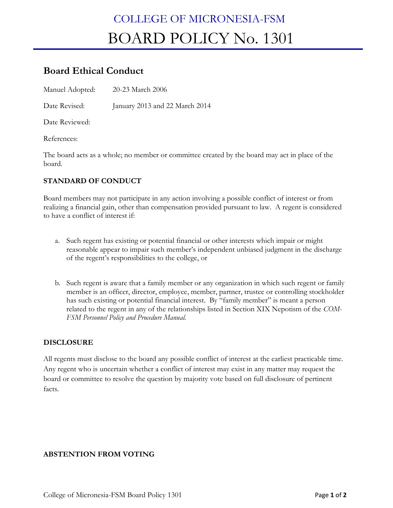# COLLEGE OF MICRONESIA-FSM BOARD POLICY No. 1301

# **Board Ethical Conduct**

Manuel Adopted: 20-23 March 2006

Date Revised: January 2013 and 22 March 2014

Date Reviewed:

References:

The board acts as a whole; no member or committee created by the board may act in place of the board.

## **STANDARD OF CONDUCT**

Board members may not participate in any action involving a possible conflict of interest or from realizing a financial gain, other than compensation provided pursuant to law. A regent is considered to have a conflict of interest if:

- a. Such regent has existing or potential financial or other interests which impair or might reasonable appear to impair such member's independent unbiased judgment in the discharge of the regent's responsibilities to the college, or
- b. Such regent is aware that a family member or any organization in which such regent or family member is an officer, director, employee, member, partner, trustee or controlling stockholder has such existing or potential financial interest. By "family member" is meant a person related to the regent in any of the relationships listed in Section XIX Nepotism of the *COM-FSM Personnel Policy and Procedure Manual.*

#### **DISCLOSURE**

All regents must disclose to the board any possible conflict of interest at the earliest practicable time. Any regent who is uncertain whether a conflict of interest may exist in any matter may request the board or committee to resolve the question by majority vote based on full disclosure of pertinent facts.

#### **ABSTENTION FROM VOTING**